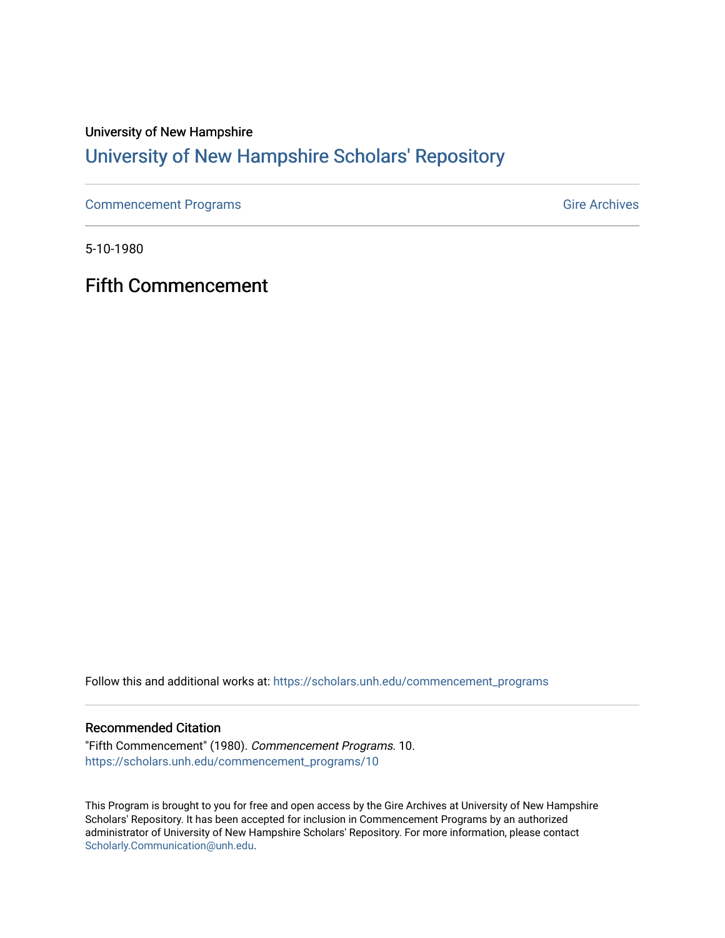### University of New Hampshire

### [University of New Hampshire Scholars' Repository](https://scholars.unh.edu/)

[Commencement Programs](https://scholars.unh.edu/commencement_programs) Gire Archives

5-10-1980

Fifth Commencement

Follow this and additional works at: [https://scholars.unh.edu/commencement\\_programs](https://scholars.unh.edu/commencement_programs?utm_source=scholars.unh.edu%2Fcommencement_programs%2F10&utm_medium=PDF&utm_campaign=PDFCoverPages) 

#### Recommended Citation

"Fifth Commencement" (1980). Commencement Programs. 10. [https://scholars.unh.edu/commencement\\_programs/10](https://scholars.unh.edu/commencement_programs/10?utm_source=scholars.unh.edu%2Fcommencement_programs%2F10&utm_medium=PDF&utm_campaign=PDFCoverPages)

This Program is brought to you for free and open access by the Gire Archives at University of New Hampshire Scholars' Repository. It has been accepted for inclusion in Commencement Programs by an authorized administrator of University of New Hampshire Scholars' Repository. For more information, please contact [Scholarly.Communication@unh.edu](mailto:Scholarly.Communication@unh.edu).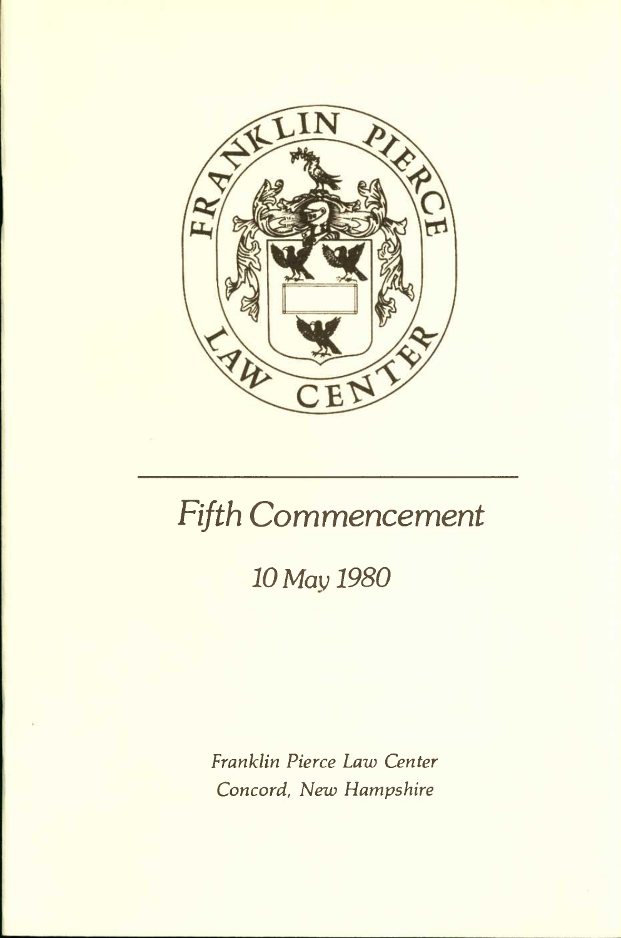

# *Fifth Commencement*

### *10 Max; 1980*

*Franklin Pierce Law Center Concord, New Flampshire*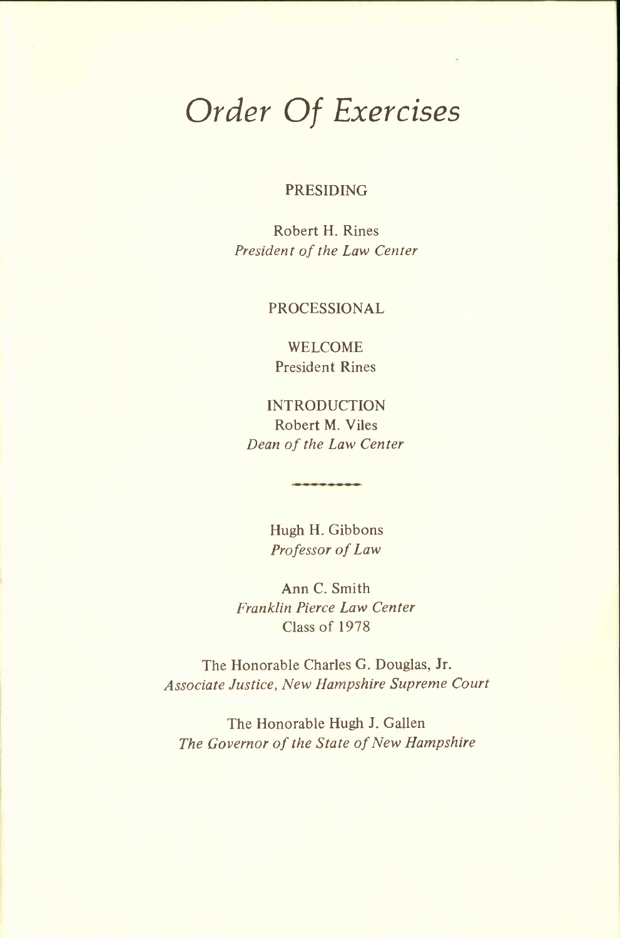# *Order Of Exercises*

PRESIDING

Robert H. Rines *President of the Law Center* 

PROCESSIONAL

WELCOME President Rines

INTRODUCTION Robert M. Viles *Dean of the Law Center* 

> Hugh H. Gibbons *Professor of Law*

Ann C. Smith *Franklin Pierce Law Center*  Class of 1978

The Honorable Charles G. Douglas, Jr. *Associate Justice, New Hampshire Supreme Court* 

The Honorable Hugh J. Gallen *The Governor of the State of New Hampshire*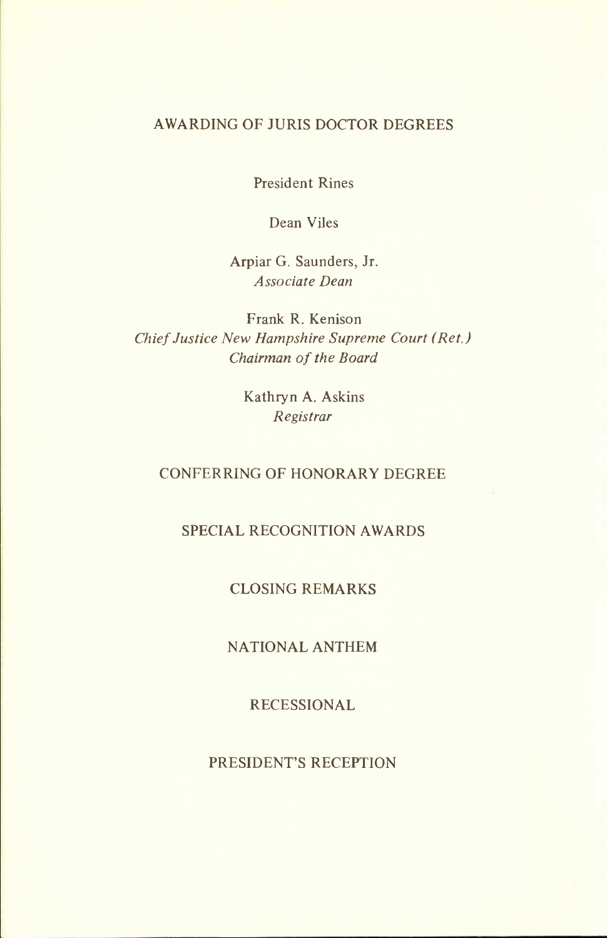#### AWARDING OF JURIS DOCTOR DEGREES

President Rines

Dean Viles

Arpiar G. Saunders, Jr. *Associate Dean* 

Frank R. Kenison *Chief Justice New Hampshire Supreme Court (Ret.) Chairman of the Board* 

> Kathryn A. Askins *Registrar*

#### CONFERRING OF HONORARY DEGREE

#### SPECIAL RECOGNITION AWARDS

#### CLOSING REMARKS

#### NATIONAL ANTHEM

#### RECESSIONAL

#### PRESIDENT'S RECEPTION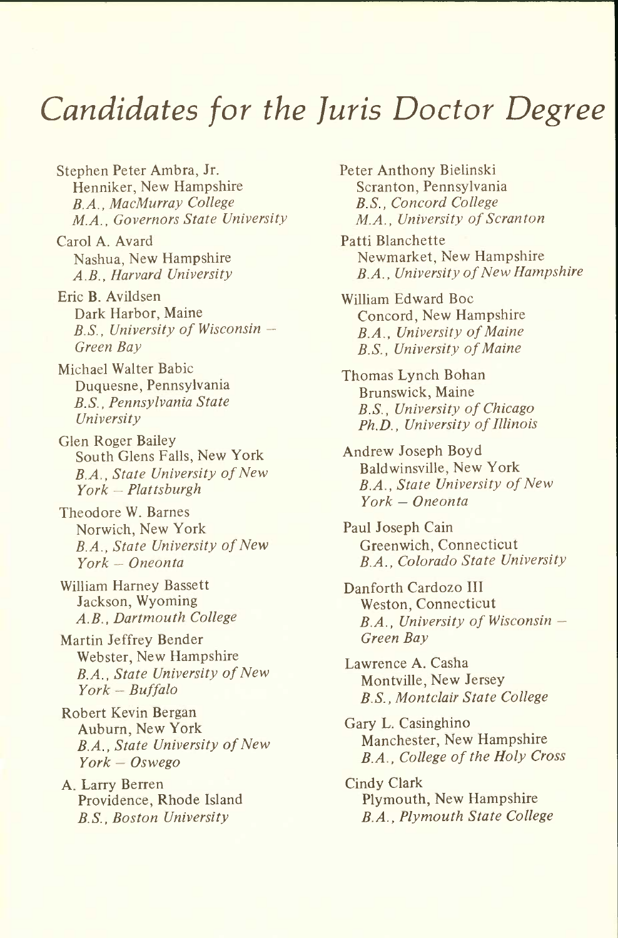## *Candidates for the Juris Doctor Degree*

Stephen Peter Ambra, Jr. Henniker, New Hampshire *B.A., MacMurray College M.A., Governors State University* 

Carol A. Avard Nashua, New Hampshire *A.B., Harvard University* 

Eric B. Avildsen Dark Harbor, Maine *B.S., University of Wisconsin - Green Bay* 

Michael Walter Babic Duquesne, Pennsylvania *B.S., Pennsylvania State University* 

Glen Roger Bailey South Glens Falls, New York *B.A., State University of New York — Plattsburgh* 

Theodore W. Barnes Norwich, New York *B.A., State University of New York — Oneonta* 

William Harney Bassett Jackson, Wyoming *A.B., Dartmouth College* 

Martin Jeffrey Bender Webster, New Hampshire *B.A., State University of New York - Buffalo* 

Robert Kevin Bergan Auburn, New York *B.A., State University of New York — Oswego* 

A. Larry Berren Providence, Rhode Island *B.S., Boston University* 

Peter Anthony Bielinski Scranton, Pennsylvania *B.S., Concord College M.A., University of Scranton* 

Patti Blanchette Newmarket, New Hampshire *B.A., University of New Hampshire* 

William Edward Boc Concord, New Hampshire *B.A., University of Maine B.S., University of Maine* 

Thomas Lynch Bohan Brunswick, Maine *B.S., University of Chicago Ph.D., University of Illinois* 

Andrew Joseph Boyd Baldwinsville, New York *B.A., State University of New York — Oneonta* 

Paul Joseph Cain Greenwich, Connecticut *B.A., Colorado State University* 

Danforth Cardozo III Weston, Connecticut *B.A., University of Wisconsin — Green Bay* 

Lawrence A. Casha Montville, New Jersey *B.S., Montclair State College* 

Gary L. Casinghino Manchester, New Hampshire *B.A., College of the Holy Cross* 

Cindy Clark Plymouth, New Hampshire *B.A., Plymouth State College*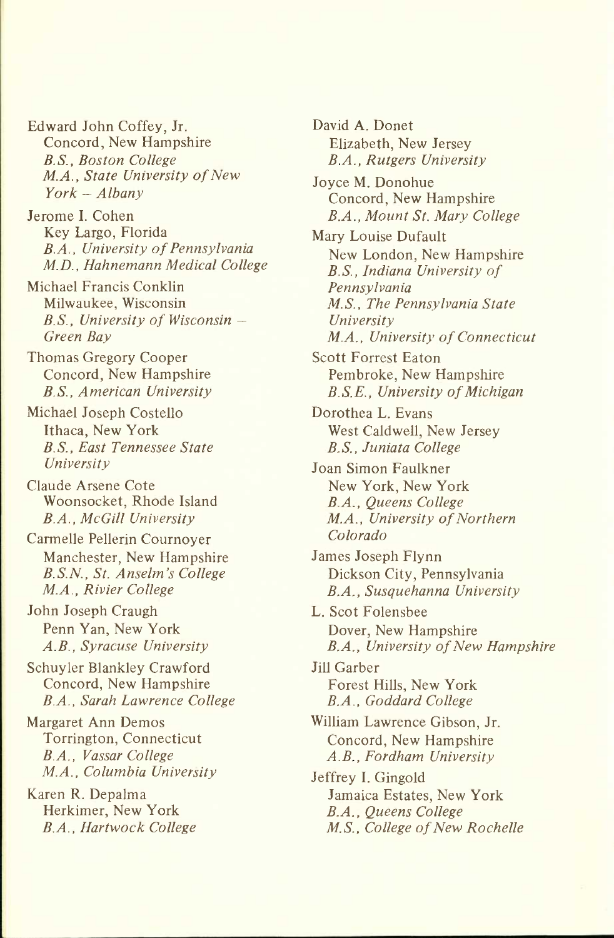Edward John Coffey, Jr. Concord, New Hampshire *B.S., Boston College M.A., State University of New York — Albany* 

Jerome I. Cohen Key Largo, Florida *B.A., University of Pennsylvania M.D., Hahnemann Medical College* 

Michael Francis Conklin Milwaukee, Wisconsin *B.S., University of Wisconsin — Green Bay* 

Thomas Gregory Cooper Concord, New Hampshire *B.S., American University* 

Michael Joseph Costello Ithaca, New York *B.S., East Tennessee State University* 

Claude Arsene Cote Woonsocket, Rhode Island *B.A., McGill University* 

Carmelle Pellerin Cournoyer Manchester, New Hampshire *B.S.N., St. Anselm's College M.A., Rivier College* 

John Joseph Craugh Penn Yan, New York *A.B., Syracuse University* 

Schuyler Blankley Crawford Concord, New Hampshire *B.A., Sarah Lawrence College* 

Margaret Ann Demos Torrington, Connecticut *B.A., Vassar College M.A., Columbia University* 

Karen R. Depalma Herkimer, New York *B.A., Hartwock College*  David A. Donet Elizabeth, New Jersey *B.A., Rutgers University* 

Joyce M. Donohue Concord, New Hampshire *B.A., Mount St. Mary College* 

Mary Louise Dufault New London, New Hampshire *B.S., Indiana University of Pennsylvania M.S., The Pennsylvania State University M.A., University of Connecticut* 

Scott Forrest Eaton Pembroke, New Hampshire *B.S.E., University of Michigan* 

Dorothea L. Evans West Caldwell, New Jersey *B.S., Juniata College* 

Joan Simon Faulkner New York, New York *B.A., Queens College M.A., University of Northern Colorado* 

James Joseph Flynn Dickson City, Pennsylvania *B.A., Susquehanna University* 

L. Scot Folensbee Dover, New Hampshire *B.A., University of New Hampshire* 

Jill Garber Forest Hills, New York *B.A., Goddard College* 

William Lawrence Gibson, Jr. Concord, New Hampshire *A.B., Fordham University* 

Jeffrey I. Gingold Jamaica Estates, New York *B.A., Queens College M.S., College of New Rochelle*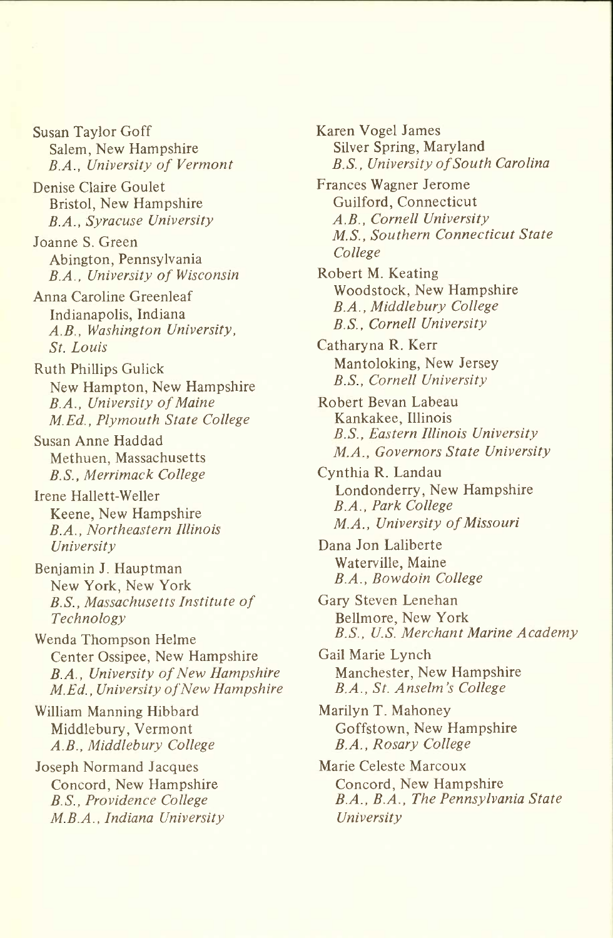Susan Taylor Goff Salem, New Hampshire *B.A., University of Vermont* 

Denise Claire Goulet Bristol, New Hampshire *B.A., Syracuse University* 

Joanne S. Green Abington, Pennsylvania *B.A., University of Wisconsin* 

Anna Caroline Greenleaf Indianapolis, Indiana *A.B., Washington University, St. Louis* 

Ruth Phillips Gulick New Hampton, New Hampshire *B.A., University of Maine M.Ed., Plymouth State College* 

Susan Anne Haddad Methuen, Massachusetts *B.S., Merrimack College* 

Irene Hallett-Weller Keene, New Hampshire *B.A., Northeastern Illinois University* 

Benjamin J. Hauptman New York, New York *B.S., Massachusetts Institute of Technology* 

Wenda Thompson Helme Center Ossipee, New Hampshire *B.A., University of New Hampshire M.Ed., University of New Hampshire* 

William Manning Hibbard Middlebury, Vermont *A.B., Middlebury College* 

Joseph Normand Jacques Concord, New Hampshire *B.S., Providence College M.B.A., Indiana University*  Karen Vogel James Silver Spring, Maryland *B.S., University of South Carolina* 

Frances Wagner Jerome Guilford, Connecticut *A.B., Cornell University M.S., Southern Connecticut State College* 

Robert M. Keating Woodstock, New Hampshire *B.A., Middlebury College B.S., Cornell University* 

Catharyna R. Kerr Mantoloking, New Jersey *B.S., Cornell University* 

Robert Bevan Labeau Kankakee, Illinois *B.S., Eastern Illinois University M.A., Governors State University* 

Cynthia R. Landau Londonderry, New Hampshire *B.A., Park College M.A., University of Missouri* 

Dana Jon Laliberte Waterville, Maine *B.A., Bowdoin College* 

Gary Steven Lenehan Bellmore, New York *B.S., U.S. Merchant Marine Academy* 

Gail Marie Lynch Manchester, New Hampshire *B.A., St. Anselm's College* 

Marilyn T. Mahoney Goffstown, New Hampshire *B.A., Rosary College* 

Marie Celeste Marcoux Concord, New Hampshire *B.A., B.A., The Pennsylvania State University*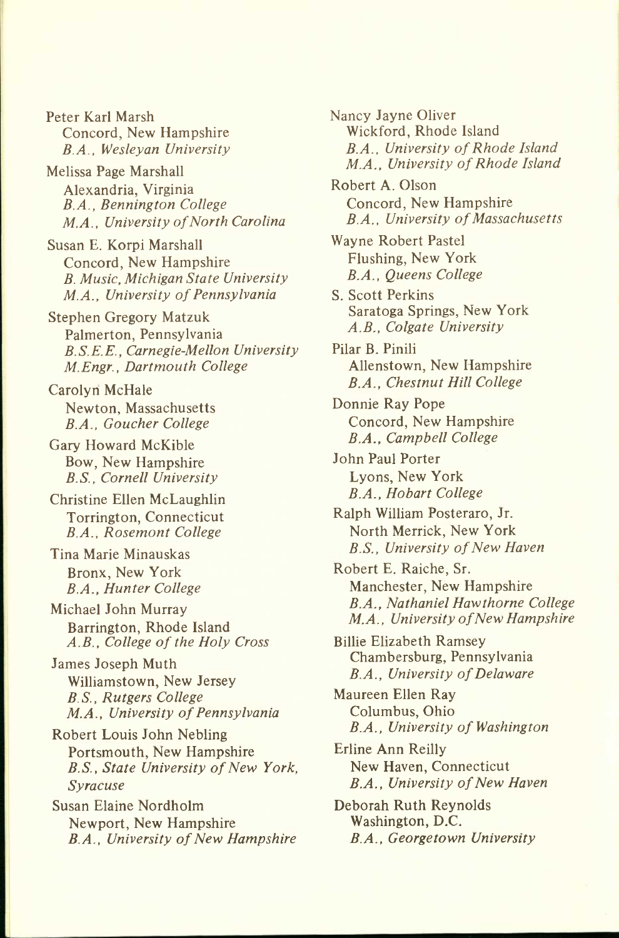Peter Karl Marsh Concord, New Hampshire *B.A., Wesleyan University* 

Melissa Page Marshall Alexandria, Virginia *B.A., Bennington College M.A., University of North Carolina* 

Susan E. Korpi Marshall Concord, New Hampshire *B. Music, Michigan State University M.A., University of Pennsylvania* 

Stephen Gregory Matzuk Palmerton, Pennsylvania *B.S.E.E., Carnegie-Mellon University M.Engr., Dartmouth College* 

Carolyn McHale Newton, Massachusetts *B.A., Goucher College* 

Gary Howard McKible Bow, New Hampshire *B.S., Cornell University* 

Christine Ellen McLaughlin Torrington, Connecticut *B.A., Rosemont College* 

Tina Marie Minauskas Bronx, New York *B.A., Hunter College* 

Michael John Murray Barrington, Rhode Island *A.B., College of the Holy Cross* 

James Joseph Muth Williamstown, New Jersey *B.S., Rutgers College M.A., University of Pennsylvania* 

Robert Louis John Nebling Portsmouth, New Hampshire *B.S., State University of New York, Syracuse* 

Susan Elaine Nordholm Newport, New Hampshire *B.A., University of New Hampshire*  Nancy Jayne Oliver Wickford, Rhode Island *B.A., University of Rhode Island M.A., University of Rhode Island* 

Robert A. Olson Concord, New Hampshire *B.A., University of Massachusetts* 

Wayne Robert Pastel Flushing, New York *B.A., Queens College* 

S. Scott Perkins Saratoga Springs, New York *A.B., Colgate University* 

Pilar B. Pinili Allenstown, New Hampshire *B.A., Chestnut Hill College* 

Donnie Ray Pope Concord, New Hampshire *B.A., Campbell College* 

John Paul Porter Lyons, New York *B.A., Hobart College* 

Ralph William Posteraro, Jr. North Merrick, New York *B.S., University of New Haven* 

Robert E. Raiche, Sr. Manchester, New Hampshire *B.A., Nathaniel Hawthorne College M.A., University of New Hampshire* 

BiUie Elizabeth Ramsey Chambersburg, Pennsylvania *B.A., University of Delaware* 

Maureen Ellen Ray Columbus, Ohio *B.A., University of Washington* 

Erline Ann Reilly New Haven, Connecticut *B.A., University of New Haven* 

Deborah Ruth Reynolds Washington, D.C. *B.A., Georgetown University*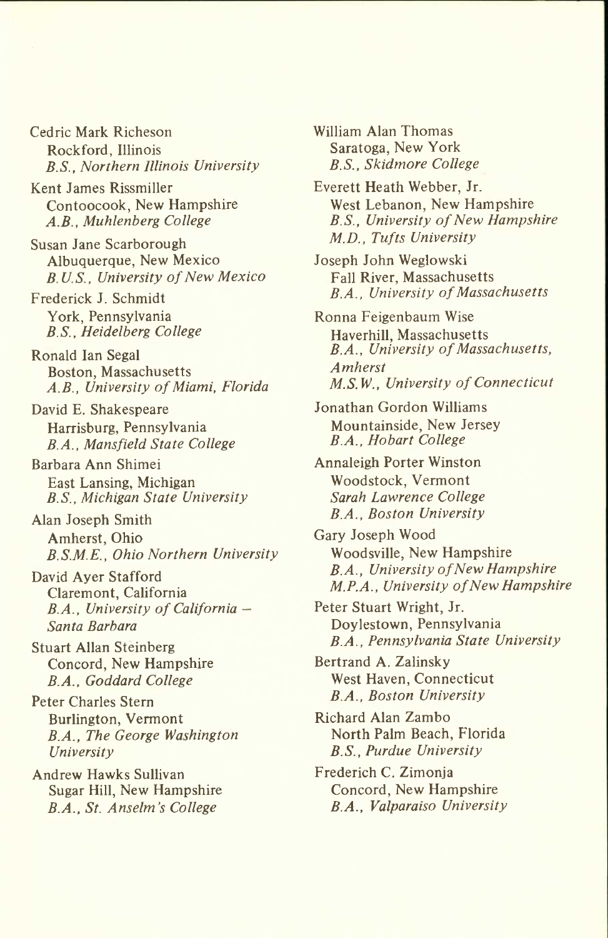Cedric Mark Richeson Rockford, Illinois *B.S., Northern Illinois University* 

Kent James Rissmiller Contoocook, New Hampshire *A.B., Muhlenberg College* 

Susan Jane Scarborough Albuquerque, New Mexico *B. U.S., University of New Mexico* 

Frederick J. Schmidt York, Pennsylvania *B.S., Heidelberg College* 

Ronald Ian Segal Boston, Massachusetts *A.B., University of Miami, Florida* 

David E. Shakespeare Harrisburg, Pennsylvania *B.A., Mansfield State College* 

Barbara Ann Shimei East Lansing, Michigan *B.S., Michigan State University* 

Alan Joseph Smith Amherst, Ohio *B.S.M.E., Ohio Northern University* 

David Ayer Stafford Claremont, California *B.A., University of California — Santa Barbara* 

Stuart Allan Steinberg Concord, New Hampshire *B.A., Goddard College* 

Peter Charles Stern Burlington, Vermont *B.A., The George Washington University* 

Andrew Hawks Sullivan Sugar Hill, New Hampshire *B.A., St. Anselm's College* 

William Alan Thomas Saratoga, New York *B.S., Skidmore College* 

Everett Heath Webber, Jr. West Lebanon, New Hampshire *B.S., University of New Hampshire M.D., Tufts University* 

Joseph John Weglowski Fall River, Massachusetts *B.A., University of Massachusetts* 

Ronna Feigenbaum Wise Haverhill, Massachusetts *B.A., University of Massachusetts, Amherst M.S.W., University of Connecticut* 

Jonathan Gordon Williams Mountainside, New Jersey *B.A., Hobart College* 

Annaleigh Porter Winston Woodstock, Vermont *Sarah Lawrence College B.A., Boston University* 

Gary Joseph Wood Woodsville, New Hampshire *B.A., University of New Hampshire M.P.A., University of New Hampshire* 

Peter Stuart Wright, Jr. Doylestown, Pennsylvania *B.A., Pennsylvania State University* 

Bertrand A. Zalinsky West Haven, Connecticut *B.A., Boston University* 

Richard Alan Zambo North Palm Beach, Florida *B.S., Purdue University* 

Frederich C. Zimonja Concord, New Hampshire *B.A., Valparaiso University*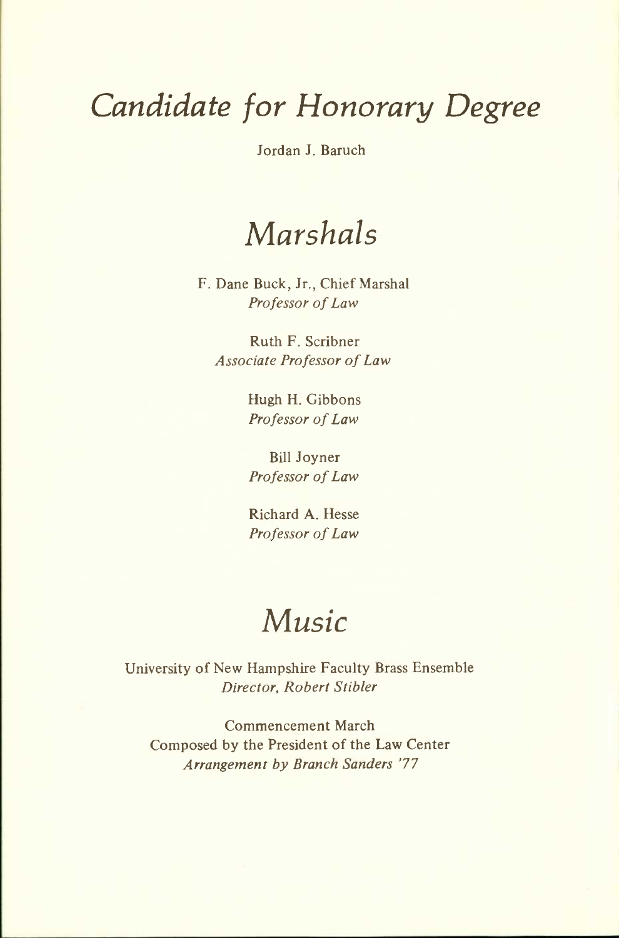# *Candidate for Honorary Degree*

Jordan J. Baruch

## *Marshals*

F. Dane Buck, Jr., Chief Marshal *Professor of Law* 

Ruth F. Scribner *Associate Professor of Law* 

> Hugh H. Gibbons *Professor of Law*

Bill Joyner *Professor of Law* 

Richard A. Hesse *Professor of Law* 

## *Music*

University of New Hampshire Faculty Brass Ensemble *Director, Robert Stibler* 

Commencement March Composed by the President of the Law Center *Arrangement by Branch Sanders* '77